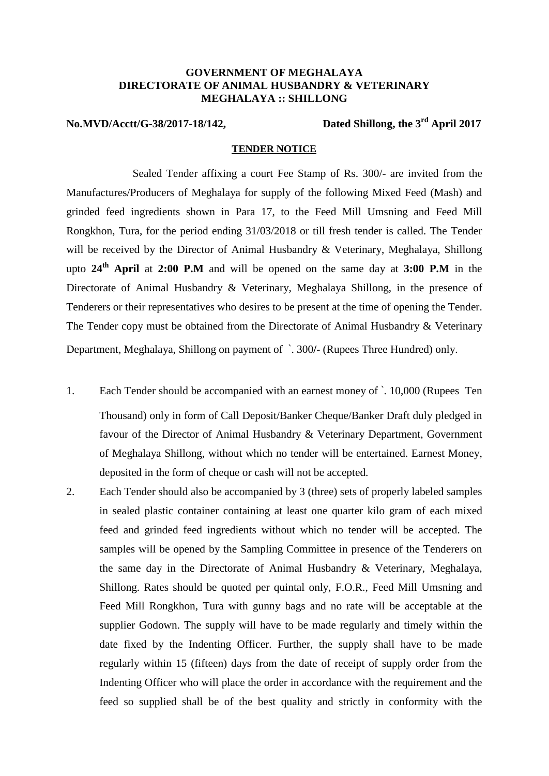## **GOVERNMENT OF MEGHALAYA DIRECTORATE OF ANIMAL HUSBANDRY & VETERINARY MEGHALAYA :: SHILLONG**

**No.MVD/Acctt/G-38/2017-18/142, Dated Shillong, the 3rd April 2017**

## **TENDER NOTICE**

Sealed Tender affixing a court Fee Stamp of Rs. 300/- are invited from the Manufactures/Producers of Meghalaya for supply of the following Mixed Feed (Mash) and grinded feed ingredients shown in Para 17, to the Feed Mill Umsning and Feed Mill Rongkhon, Tura, for the period ending 31/03/2018 or till fresh tender is called. The Tender will be received by the Director of Animal Husbandry & Veterinary, Meghalaya, Shillong upto **24th April** at **2:00 P.M** and will be opened on the same day at **3:00 P.M** in the Directorate of Animal Husbandry & Veterinary, Meghalaya Shillong, in the presence of Tenderers or their representatives who desires to be present at the time of opening the Tender. The Tender copy must be obtained from the Directorate of Animal Husbandry & Veterinary Department, Meghalaya, Shillong on payment of `. 300**/-** (Rupees Three Hundred) only.

- 1. Each Tender should be accompanied with an earnest money of `. 10,000 (Rupees Ten Thousand) only in form of Call Deposit/Banker Cheque/Banker Draft duly pledged in favour of the Director of Animal Husbandry & Veterinary Department, Government of Meghalaya Shillong, without which no tender will be entertained. Earnest Money, deposited in the form of cheque or cash will not be accepted.
- 2. Each Tender should also be accompanied by 3 (three) sets of properly labeled samples in sealed plastic container containing at least one quarter kilo gram of each mixed feed and grinded feed ingredients without which no tender will be accepted. The samples will be opened by the Sampling Committee in presence of the Tenderers on the same day in the Directorate of Animal Husbandry & Veterinary, Meghalaya, Shillong. Rates should be quoted per quintal only, F.O.R., Feed Mill Umsning and Feed Mill Rongkhon, Tura with gunny bags and no rate will be acceptable at the supplier Godown. The supply will have to be made regularly and timely within the date fixed by the Indenting Officer. Further, the supply shall have to be made regularly within 15 (fifteen) days from the date of receipt of supply order from the Indenting Officer who will place the order in accordance with the requirement and the feed so supplied shall be of the best quality and strictly in conformity with the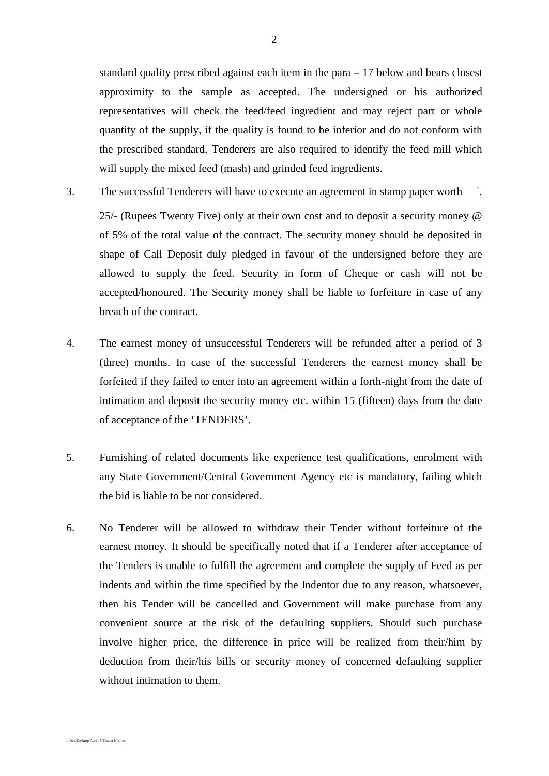standard quality prescribed against each item in the para – 17 below and bears closest approximity to the sample as accepted. The undersigned or his authorized representatives will check the feed/feed ingredient and may reject part or whole quantity of the supply, if the quality is found to be inferior and do not conform with the prescribed standard. Tenderers are also required to identify the feed mill which will supply the mixed feed (mash) and grinded feed ingredients.

3. The successful Tenderers will have to execute an agreement in stamp paper worth `.

25/- (Rupees Twenty Five) only at their own cost and to deposit a security money @ of 5% of the total value of the contract. The security money should be deposited in shape of Call Deposit duly pledged in favour of the undersigned before they are allowed to supply the feed. Security in form of Cheque or cash will not be accepted/honoured. The Security money shall be liable to forfeiture in case of any breach of the contract.

- 4. The earnest money of unsuccessful Tenderers will be refunded after a period of 3 (three) months. In case of the successful Tenderers the earnest money shall be forfeited if they failed to enter into an agreement within a forth-night from the date of intimation and deposit the security money etc. within 15 (fifteen) days from the date of acceptance of the 'TENDERS'.
- 5. Furnishing of related documents like experience test qualifications, enrolment with any State Government/Central Government Agency etc is mandatory, failing which the bid is liable to be not considered.
- 6. No Tenderer will be allowed to withdraw their Tender without forfeiture of the earnest money. It should be specifically noted that if a Tenderer after acceptance of the Tenders is unable to fulfill the agreement and complete the supply of Feed as per indents and within the time specified by the Indentor due to any reason, whatsoever, then his Tender will be cancelled and Government will make purchase from any convenient source at the risk of the defaulting suppliers. Should such purchase involve higher price, the difference in price will be realized from their/him by deduction from their/his bills or security money of concerned defaulting supplier without intimation to them.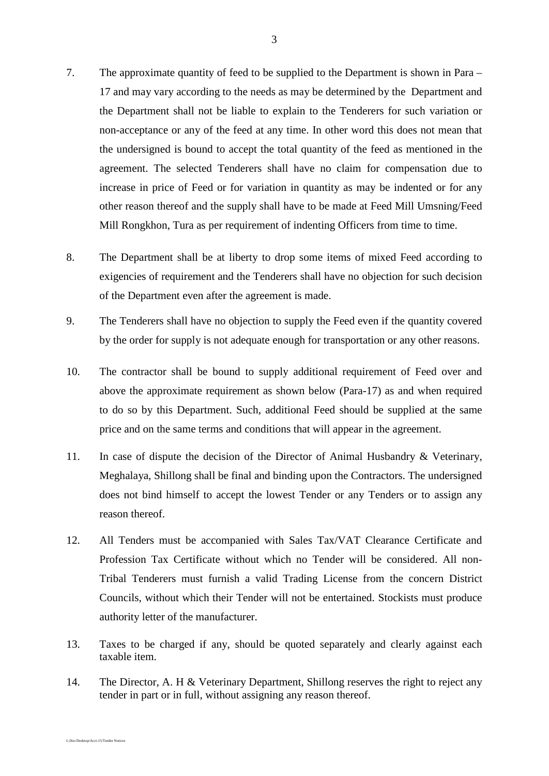- 7. The approximate quantity of feed to be supplied to the Department is shown in Para 17 and may vary according to the needs as may be determined by the Department and the Department shall not be liable to explain to the Tenderers for such variation or non-acceptance or any of the feed at any time. In other word this does not mean that the undersigned is bound to accept the total quantity of the feed as mentioned in the agreement. The selected Tenderers shall have no claim for compensation due to increase in price of Feed or for variation in quantity as may be indented or for any other reason thereof and the supply shall have to be made at Feed Mill Umsning/Feed Mill Rongkhon, Tura as per requirement of indenting Officers from time to time.
- 8. The Department shall be at liberty to drop some items of mixed Feed according to exigencies of requirement and the Tenderers shall have no objection for such decision of the Department even after the agreement is made.
- 9. The Tenderers shall have no objection to supply the Feed even if the quantity covered by the order for supply is not adequate enough for transportation or any other reasons.
- 10. The contractor shall be bound to supply additional requirement of Feed over and above the approximate requirement as shown below (Para-17) as and when required to do so by this Department. Such, additional Feed should be supplied at the same price and on the same terms and conditions that will appear in the agreement.
- 11. In case of dispute the decision of the Director of Animal Husbandry & Veterinary, Meghalaya, Shillong shall be final and binding upon the Contractors. The undersigned does not bind himself to accept the lowest Tender or any Tenders or to assign any reason thereof.
- 12. All Tenders must be accompanied with Sales Tax/VAT Clearance Certificate and Profession Tax Certificate without which no Tender will be considered. All non-Tribal Tenderers must furnish a valid Trading License from the concern District Councils, without which their Tender will not be entertained. Stockists must produce authority letter of the manufacturer.
- 13. Taxes to be charged if any, should be quoted separately and clearly against each taxable item.
- 14. The Director, A. H & Veterinary Department, Shillong reserves the right to reject any tender in part or in full, without assigning any reason thereof.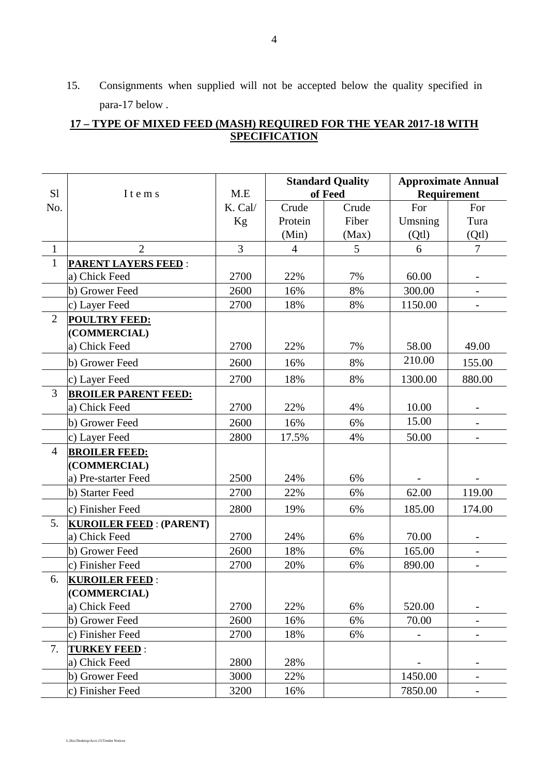15. Consignments when supplied will not be accepted below the quality specified in para-17 below .

## **17 – TYPE OF MIXED FEED (MASH) REQUIRED FOR THE YEAR 2017-18 WITH SPECIFICATION**

|                |                                |         | <b>Standard Quality</b> |       | <b>Approximate Annual</b> |                          |
|----------------|--------------------------------|---------|-------------------------|-------|---------------------------|--------------------------|
| S1             | I t e m s                      | M.E     | of Feed                 |       | Requirement               |                          |
| No.            |                                | K. Cal/ | Crude                   | Crude | For                       | For                      |
|                |                                | Kg      | Protein                 | Fiber | Umsning                   | Tura                     |
|                |                                |         | (Min)                   | (Max) | (Qt)                      | (Qt)                     |
| $\mathbf{1}$   | $\overline{2}$                 | 3       | $\overline{4}$          | 5     | 6                         | $\overline{7}$           |
| $\mathbf{1}$   | <b>PARENT LAYERS FEED:</b>     |         |                         |       |                           |                          |
|                | a) Chick Feed                  | 2700    | 22%                     | 7%    | 60.00                     |                          |
|                | b) Grower Feed                 | 2600    | 16%                     | 8%    | 300.00                    |                          |
|                | c) Layer Feed                  | 2700    | 18%                     | 8%    | 1150.00                   |                          |
| $\overline{2}$ | <b>POULTRY FEED:</b>           |         |                         |       |                           |                          |
|                | (COMMERCIAL)                   |         |                         |       |                           |                          |
|                | a) Chick Feed                  | 2700    | 22%                     | 7%    | 58.00                     | 49.00                    |
|                | b) Grower Feed                 | 2600    | 16%                     | 8%    | 210.00                    | 155.00                   |
|                | c) Layer Feed                  | 2700    | 18%                     | 8%    | 1300.00                   | 880.00                   |
| 3              | <b>BROILER PARENT FEED:</b>    |         |                         |       |                           |                          |
|                | a) Chick Feed                  | 2700    | 22%                     | 4%    | 10.00                     |                          |
|                | b) Grower Feed                 | 2600    | 16%                     | 6%    | 15.00                     |                          |
|                | c) Layer Feed                  | 2800    | 17.5%                   | 4%    | 50.00                     |                          |
| $\overline{4}$ | <b>BROILER FEED:</b>           |         |                         |       |                           |                          |
|                | (COMMERCIAL)                   |         |                         |       |                           |                          |
|                | a) Pre-starter Feed            | 2500    | 24%                     | 6%    |                           |                          |
|                | b) Starter Feed                | 2700    | 22%                     | 6%    | 62.00                     | 119.00                   |
|                | c) Finisher Feed               | 2800    | 19%                     | 6%    | 185.00                    | 174.00                   |
| 5.             | <b>KUROILER FEED: (PARENT)</b> |         |                         |       |                           |                          |
|                | a) Chick Feed                  | 2700    | 24%                     | 6%    | 70.00                     |                          |
|                | b) Grower Feed                 | 2600    | 18%                     | 6%    | 165.00                    | $\overline{\phantom{0}}$ |
|                | c) Finisher Feed               | 2700    | 20%                     | 6%    | 890.00                    |                          |
| 6.             | <b>KUROILER FEED:</b>          |         |                         |       |                           |                          |
|                | (COMMERCIAL)                   |         |                         |       |                           |                          |
|                | a) Chick Feed                  | 2700    | 22%                     | 6%    | 520.00                    |                          |
|                | b) Grower Feed                 | 2600    | 16%                     | 6%    | 70.00                     |                          |
|                | c) Finisher Feed               | 2700    | 18%                     | 6%    |                           |                          |
| 7.             | <b>TURKEY FEED:</b>            |         |                         |       |                           |                          |
|                | a) Chick Feed                  | 2800    | 28%                     |       |                           |                          |
|                | b) Grower Feed                 | 3000    | 22%                     |       | 1450.00                   | -                        |
|                | c) Finisher Feed               | 3200    | 16%                     |       | 7850.00                   |                          |